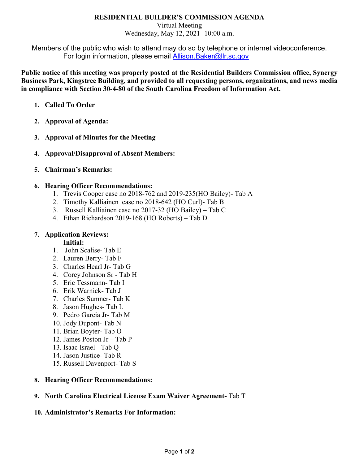## **RESIDENTIAL BUILDER'S COMMISSION AGENDA**

Virtual Meeting Wednesday, May 12, 2021 -10:00 a.m.

Members of the public who wish to attend may do so by telephone or internet videoconference. For login information, please email **Allison.Baker@llr.sc.gov** 

**Public notice of this meeting was properly posted at the Residential Builders Commission office, Synergy Business Park, Kingstree Building, and provided to all requesting persons, organizations, and news media in compliance with Section 30-4-80 of the South Carolina Freedom of Information Act.**

- **1. Called To Order**
- **2. Approval of Agenda:**
- **3. Approval of Minutes for the Meeting**
- **4. Approval/Disapproval of Absent Members:**
- **5. Chairman's Remarks:**

## **6. Hearing Officer Recommendations:**

- 1. Trevis Cooper case no 2018-762 and 2019-235(HO Bailey)- Tab A
- 2. Timothy Kalliainen case no 2018-642 (HO Curl)- Tab B
- 3. Russell Kalliainen case no 2017-32 (HO Bailey) Tab C
- 4. Ethan Richardson 2019-168 (HO Roberts) Tab D

## **7. Application Reviews:**

**Initial:**

- 1. John Scalise- Tab E
- 2. Lauren Berry- Tab F
- 3. Charles Hearl Jr- Tab G
- 4. Corey Johnson Sr Tab H
- 5. Eric Tessmann- Tab I
- 6. Erik Warnick- Tab J
- 7. Charles Sumner- Tab K
- 8. Jason Hughes- Tab L
- 9. Pedro Garcia Jr- Tab M
- 10. Jody Dupont- Tab N
- 11. Brian Boyter- Tab O
- 12. James Poston Jr Tab P
- 13. Isaac Israel Tab Q
- 14. Jason Justice- Tab R
- 15. Russell Davenport- Tab S

## **8. Hearing Officer Recommendations:**

## **9. North Carolina Electrical License Exam Waiver Agreement-** Tab T

## **10. Administrator's Remarks For Information:**